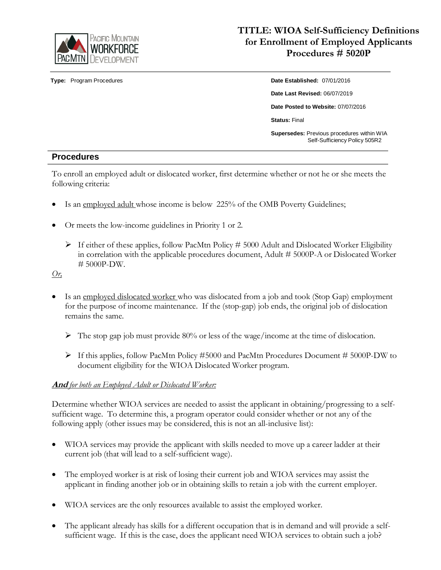

# **TITLE: WIOA Self-Sufficiency Definitions for Enrollment of Employed Applicants Procedures # 5020P**

**Type:** Program Procedures **Date Established:** 07/01/2016 **Date Last Revised:** 06/07/2019 **Date Posted to Website:** 07/07/2016 **Status:** Final **Supersedes:** Previous procedures within WIA Self-Sufficiency Policy 505R2

### **Procedures**

To enroll an employed adult or dislocated worker, first determine whether or not he or she meets the following criteria:

- Is an employed adult whose income is below 225% of the OMB Poverty Guidelines;
- Or meets the low-income guidelines in Priority 1 or 2.
	- $\triangleright$  If either of these applies, follow PacMtn Policy # 5000 Adult and Dislocated Worker Eligibility in correlation with the applicable procedures document, Adult # 5000P-A or Dislocated Worker # 5000P-DW.

*Or,*

- Is an employed dislocated worker who was dislocated from a job and took (Stop Gap) employment for the purpose of income maintenance. If the (stop-gap) job ends, the original job of dislocation remains the same.
	- $\triangleright$  The stop gap job must provide 80% or less of the wage/income at the time of dislocation.
	- If this applies, follow PacMtn Policy #5000 and PacMtn Procedures Document # 5000P-DW to document eligibility for the WIOA Dislocated Worker program.

### **And** *for both an Employed Adult or Dislocated Worker:*

Determine whether WIOA services are needed to assist the applicant in obtaining/progressing to a selfsufficient wage. To determine this, a program operator could consider whether or not any of the following apply (other issues may be considered, this is not an all-inclusive list):

- WIOA services may provide the applicant with skills needed to move up a career ladder at their current job (that will lead to a self-sufficient wage).
- The employed worker is at risk of losing their current job and WIOA services may assist the applicant in finding another job or in obtaining skills to retain a job with the current employer.
- WIOA services are the only resources available to assist the employed worker.
- The applicant already has skills for a different occupation that is in demand and will provide a selfsufficient wage. If this is the case, does the applicant need WIOA services to obtain such a job?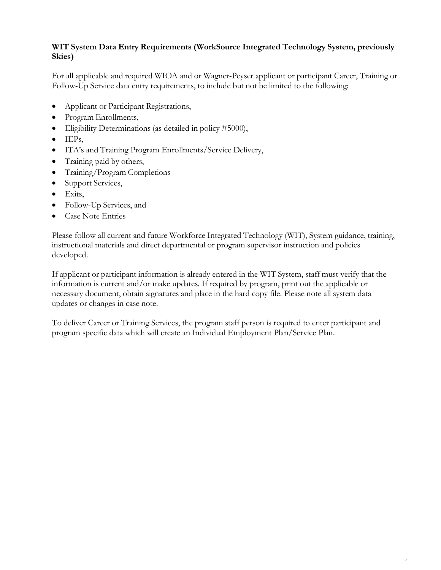## **WIT System Data Entry Requirements (WorkSource Integrated Technology System, previously Skies)**

For all applicable and required WIOA and or Wagner-Peyser applicant or participant Career, Training or Follow-Up Service data entry requirements, to include but not be limited to the following:

- Applicant or Participant Registrations,
- Program Enrollments,
- Eligibility Determinations (as detailed in policy #5000),
- $\bullet$  IEPs,
- ITA's and Training Program Enrollments/Service Delivery,
- Training paid by others,
- Training/Program Completions
- Support Services,
- $\bullet$  Exits,
- Follow-Up Services, and
- Case Note Entries

Please follow all current and future Workforce Integrated Technology (WIT), System guidance, training, instructional materials and direct departmental or program supervisor instruction and policies developed.

If applicant or participant information is already entered in the WIT System, staff must verify that the information is current and/or make updates. If required by program, print out the applicable or necessary document, obtain signatures and place in the hard copy file. Please note all system data updates or changes in case note.

To deliver Career or Training Services, the program staff person is required to enter participant and program specific data which will create an Individual Employment Plan/Service Plan.

2